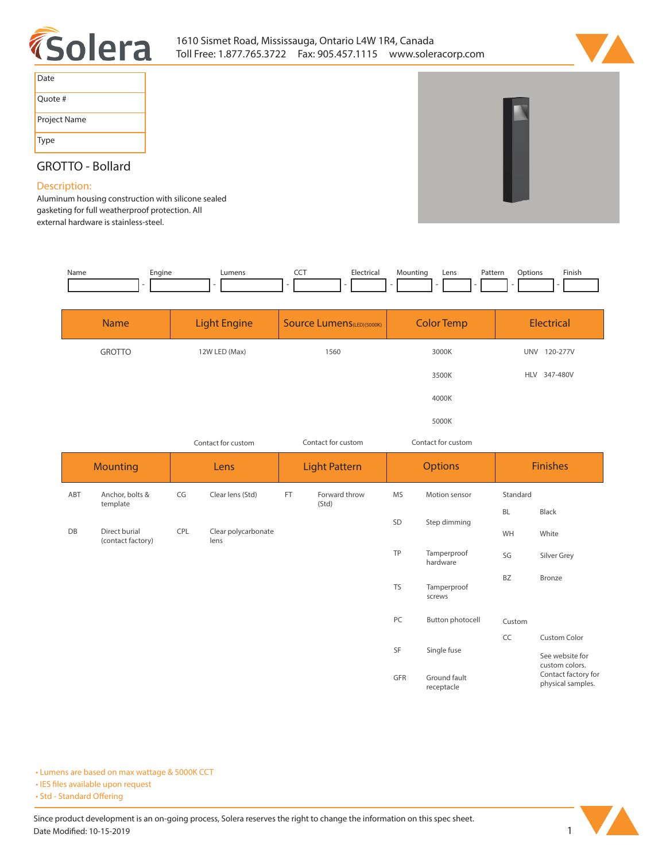



| Date         |  |
|--------------|--|
| Quote #      |  |
| Project Name |  |
| Type         |  |

## **GROTTO - Bollard**

## **Description:**

**Aluminum housing construction with silicone sealed gasketing for full weatherproof protection. All external hardware is stainless-steel.** 

| Name | čnaine<br>- | umens_ | --- | Flectrica.<br>. | 'Inc | Lens | Pattern<br>. | Options | Finish |
|------|-------------|--------|-----|-----------------|------|------|--------------|---------|--------|
|      |             |        |     |                 |      |      |              |         |        |

| <b>Name</b>   | <b>Light Engine</b> | <b>Source Lumens</b> (LED)(5000K) | <b>Color Temp</b> | <b>Electrical</b>      |
|---------------|---------------------|-----------------------------------|-------------------|------------------------|
| <b>GROTTO</b> | 12W LED (Max)       | 1560                              | 3000K             | 120-277V<br><b>UNV</b> |
|               |                     |                                   | 3500K             | HLV 347-480V           |
|               |                     |                                   | 4000K             |                        |
|               |                     |                                   | 5000K             |                        |

*Contact for custom*

**receptacle**

*Contact for custom Contact for custom*

|                 |                                    | Contact for custom<br>CONTRACTION CUSTOM<br>COTTLESS TOP CUSTOM |                             |                      |                        |                |                         |                 |                                                    |
|-----------------|------------------------------------|-----------------------------------------------------------------|-----------------------------|----------------------|------------------------|----------------|-------------------------|-----------------|----------------------------------------------------|
| <b>Mounting</b> |                                    | Lens                                                            |                             | <b>Light Pattern</b> |                        | <b>Options</b> |                         | <b>Finishes</b> |                                                    |
| ABT             | Anchor, bolts &<br>template        | CG                                                              | Clear lens (Std)            | <b>FT</b>            | Forward throw<br>(Std) | <b>MS</b>      | Motion sensor           | Standard        |                                                    |
|                 |                                    |                                                                 |                             |                      |                        |                | SD<br>Step dimming      | <b>BL</b>       | Black                                              |
| DB              | Direct burial<br>(contact factory) | CPL                                                             | Clear polycarbonate<br>lens |                      |                        |                |                         | WH              | White                                              |
|                 |                                    |                                                                 |                             |                      |                        | TP             | Tamperproof<br>hardware | SG              | Silver Grey                                        |
|                 |                                    |                                                                 |                             |                      |                        | <b>TS</b>      | Tamperproof<br>screws   | BZ              | Bronze                                             |
|                 |                                    |                                                                 |                             |                      |                        | PC             | Button photocell        | Custom          |                                                    |
|                 |                                    |                                                                 |                             |                      |                        |                |                         | CC              | Custom Color                                       |
|                 |                                    |                                                                 |                             |                      |                        | SF             | Single fuse             |                 | See website for<br>custom colors.                  |
|                 |                                    |                                                                 |                             |                      |                        | GFR            | Ground fault            |                 | Contact factory for<br>$\sim$ $\sim$ $\sim$ $\sim$ |

**• Lumens are based on max wattage & 5000K CCT**

**• IES files available upon request** 

• Std - Standard Offering



**physical samples.**